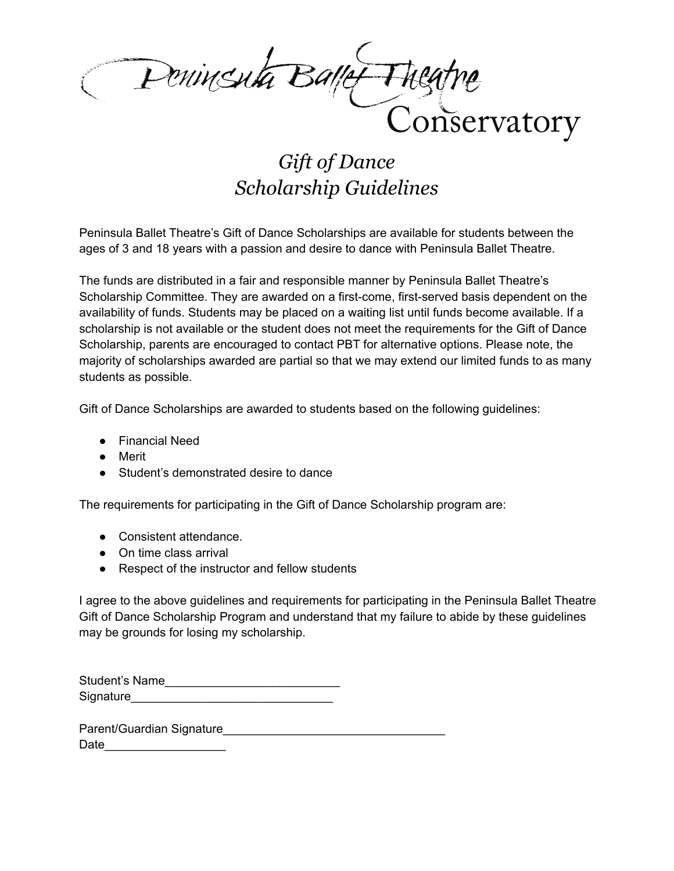Penincenta Ballet Thegt onservatory

## *Gift of Dance Scholarship Guidelines*

 Peninsula Ballet Theatre's Gift of Dance Scholarships are available for students between the ages of 3 and 18 years with a passion and desire to dance with Peninsula Ballet Theatre.

 The funds are distributed in a fair and responsible manner by Peninsula Ballet Theatre's Scholarship Committee. They are awarded on a first-come, first-served basis dependent on the availability of funds. Students may be placed on a waiting list until funds become available. If a scholarship is not available or the student does not meet the requirements for the Gift of Dance Scholarship, parents are encouraged to contact PBT for alternative options. Please note, the majority of scholarships awarded are partial so that we may extend our limited funds to as many students as possible.

Gift of Dance Scholarships are awarded to students based on the following guidelines:

- Financial Need
- Merit
- Student's demonstrated desire to dance

The requirements for participating in the Gift of Dance Scholarship program are:

- Consistent attendance.
- On time class arrival
- Respect of the instructor and fellow students

 I agree to the above guidelines and requirements for participating in the Peninsula Ballet Theatre Gift of Dance Scholarship Program and understand that my failure to abide by these guidelines may be grounds for losing my scholarship.

| Student's Name |  |
|----------------|--|
| Signature      |  |

Parent/Guardian Signature Date and the set of  $\sim$